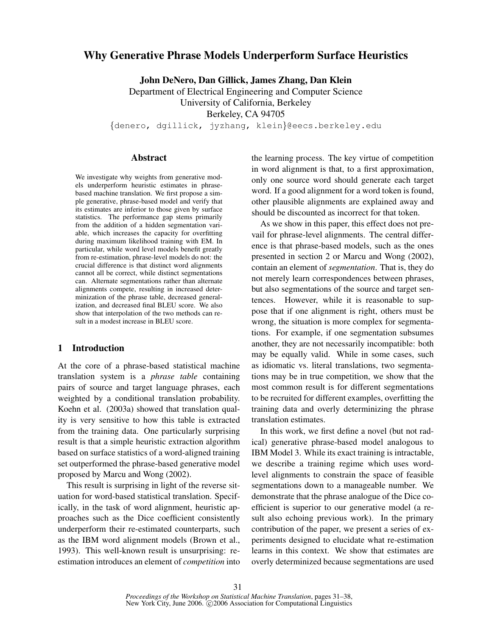# Why Generative Phrase Models Underperform Surface Heuristics

John DeNero, Dan Gillick, James Zhang, Dan Klein

Department of Electrical Engineering and Computer Science University of California, Berkeley Berkeley, CA 94705

{denero, dgillick, jyzhang, klein}@eecs.berkeley.edu

#### Abstract

We investigate why weights from generative models underperform heuristic estimates in phrasebased machine translation. We first propose a simple generative, phrase-based model and verify that its estimates are inferior to those given by surface statistics. The performance gap stems primarily from the addition of a hidden segmentation variable, which increases the capacity for overfitting during maximum likelihood training with EM. In particular, while word level models benefit greatly from re-estimation, phrase-level models do not: the crucial difference is that distinct word alignments cannot all be correct, while distinct segmentations can. Alternate segmentations rather than alternate alignments compete, resulting in increased determinization of the phrase table, decreased generalization, and decreased final BLEU score. We also show that interpolation of the two methods can result in a modest increase in BLEU score.

## 1 Introduction

At the core of a phrase-based statistical machine translation system is a *phrase table* containing pairs of source and target language phrases, each weighted by a conditional translation probability. Koehn et al. (2003a) showed that translation quality is very sensitive to how this table is extracted from the training data. One particularly surprising result is that a simple heuristic extraction algorithm based on surface statistics of a word-aligned training set outperformed the phrase-based generative model proposed by Marcu and Wong (2002).

This result is surprising in light of the reverse situation for word-based statistical translation. Specifically, in the task of word alignment, heuristic approaches such as the Dice coefficient consistently underperform their re-estimated counterparts, such as the IBM word alignment models (Brown et al., 1993). This well-known result is unsurprising: reestimation introduces an element of *competition* into the learning process. The key virtue of competition in word alignment is that, to a first approximation, only one source word should generate each target word. If a good alignment for a word token is found, other plausible alignments are explained away and should be discounted as incorrect for that token.

As we show in this paper, this effect does not prevail for phrase-level alignments. The central difference is that phrase-based models, such as the ones presented in section 2 or Marcu and Wong (2002), contain an element of *segmentation*. That is, they do not merely learn correspondences between phrases, but also segmentations of the source and target sentences. However, while it is reasonable to suppose that if one alignment is right, others must be wrong, the situation is more complex for segmentations. For example, if one segmentation subsumes another, they are not necessarily incompatible: both may be equally valid. While in some cases, such as idiomatic vs. literal translations, two segmentations may be in true competition, we show that the most common result is for different segmentations to be recruited for different examples, overfitting the training data and overly determinizing the phrase translation estimates.

In this work, we first define a novel (but not radical) generative phrase-based model analogous to IBM Model 3. While its exact training is intractable, we describe a training regime which uses wordlevel alignments to constrain the space of feasible segmentations down to a manageable number. We demonstrate that the phrase analogue of the Dice coefficient is superior to our generative model (a result also echoing previous work). In the primary contribution of the paper, we present a series of experiments designed to elucidate what re-estimation learns in this context. We show that estimates are overly determinized because segmentations are used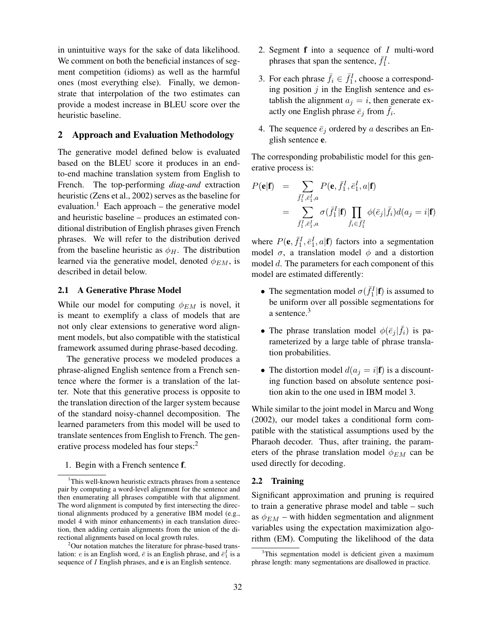in unintuitive ways for the sake of data likelihood. We comment on both the beneficial instances of segment competition (idioms) as well as the harmful ones (most everything else). Finally, we demonstrate that interpolation of the two estimates can provide a modest increase in BLEU score over the heuristic baseline.

### 2 Approach and Evaluation Methodology

The generative model defined below is evaluated based on the BLEU score it produces in an endto-end machine translation system from English to French. The top-performing *diag-and* extraction heuristic (Zens et al., 2002) serves as the baseline for evaluation.<sup>1</sup> Each approach – the generative model and heuristic baseline – produces an estimated conditional distribution of English phrases given French phrases. We will refer to the distribution derived from the baseline heuristic as  $\phi_H$ . The distribution learned via the generative model, denoted  $\phi_{EM}$ , is described in detail below.

#### 2.1 A Generative Phrase Model

While our model for computing  $\phi_{EM}$  is novel, it is meant to exemplify a class of models that are not only clear extensions to generative word alignment models, but also compatible with the statistical framework assumed during phrase-based decoding.

The generative process we modeled produces a phrase-aligned English sentence from a French sentence where the former is a translation of the latter. Note that this generative process is opposite to the translation direction of the larger system because of the standard noisy-channel decomposition. The learned parameters from this model will be used to translate sentences from English to French. The generative process modeled has four steps:<sup>2</sup>

1. Begin with a French sentence f.

- 2. Segment  $f$  into a sequence of  $I$  multi-word phrases that span the sentence,  $\bar{f}_1^I$ .
- 3. For each phrase  $\bar{f}_i \in \bar{f}_1^I$ , choose a corresponding position  $j$  in the English sentence and establish the alignment  $a_j = i$ , then generate exactly one English phrase  $\bar{e}_j$  from  $\bar{f}_i$ .
- 4. The sequence  $\bar{e}_j$  ordered by a describes an English sentence e.

The corresponding probabilistic model for this generative process is:

$$
P(\mathbf{e}|\mathbf{f}) = \sum_{\bar{f}_1^I, \bar{e}_1^I, a} P(\mathbf{e}, \bar{f}_1^I, \bar{e}_1^I, a | \mathbf{f})
$$
  
= 
$$
\sum_{\bar{f}_1^I, \bar{e}_1^I, a} \sigma(\bar{f}_1^I | \mathbf{f}) \prod_{\bar{f}_i \in \bar{f}_1^I} \phi(\bar{e}_j | \bar{f}_i) d(a_j = i | \mathbf{f})
$$

where  $P(\mathbf{e}, \bar{f}_1^I, \bar{e}_1^I, a|\mathbf{f})$  factors into a segmentation model  $\sigma$ , a translation model  $\phi$  and a distortion model d. The parameters for each component of this model are estimated differently:

- The segmentation model  $\sigma(\bar{f}_1^I | \mathbf{f})$  is assumed to be uniform over all possible segmentations for a sentence.<sup>3</sup>
- The phrase translation model  $\phi(\bar{e}_j | \bar{f}_i)$  is parameterized by a large table of phrase translation probabilities.
- The distortion model  $d(a_j = i|\mathbf{f})$  is a discounting function based on absolute sentence position akin to the one used in IBM model 3.

While similar to the joint model in Marcu and Wong (2002), our model takes a conditional form compatible with the statistical assumptions used by the Pharaoh decoder. Thus, after training, the parameters of the phrase translation model  $\phi_{EM}$  can be used directly for decoding.

## 2.2 Training

Significant approximation and pruning is required to train a generative phrase model and table – such as  $\phi_{EM}$  – with hidden segmentation and alignment variables using the expectation maximization algorithm (EM). Computing the likelihood of the data

<sup>&</sup>lt;sup>1</sup>This well-known heuristic extracts phrases from a sentence pair by computing a word-level alignment for the sentence and then enumerating all phrases compatible with that alignment. The word alignment is computed by first intersecting the directional alignments produced by a generative IBM model (e.g., model 4 with minor enhancements) in each translation direction, then adding certain alignments from the union of the directional alignments based on local growth rules.

 $2^2$ Our notation matches the literature for phrase-based translation: *e* is an English word,  $\bar{e}$  is an English phrase, and  $\bar{e}_1^I$  is a sequence of I English phrases, and e is an English sentence.

<sup>&</sup>lt;sup>3</sup>This segmentation model is deficient given a maximum phrase length: many segmentations are disallowed in practice.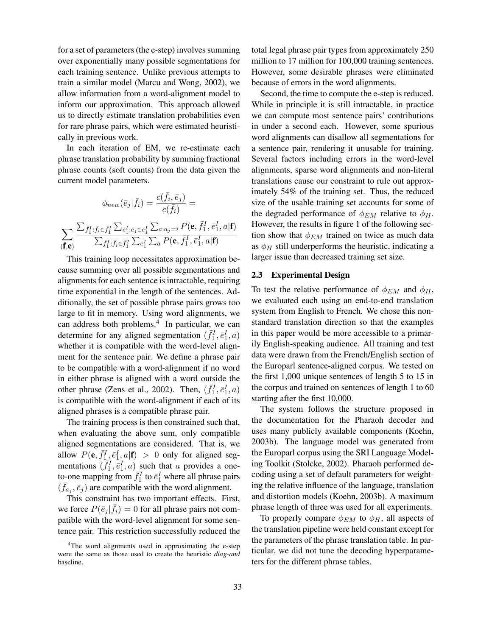for a set of parameters (the e-step) involves summing over exponentially many possible segmentations for each training sentence. Unlike previous attempts to train a similar model (Marcu and Wong, 2002), we allow information from a word-alignment model to inform our approximation. This approach allowed us to directly estimate translation probabilities even for rare phrase pairs, which were estimated heuristically in previous work.

In each iteration of EM, we re-estimate each phrase translation probability by summing fractional phrase counts (soft counts) from the data given the current model parameters.

$$
\phi_{new}(\bar{e}_j|\bar{f}_i) = \frac{c(\bar{f}_i, \bar{e}_j)}{c(\bar{f}_i)} =
$$
\n
$$
\sum_{(\mathbf{f}, \mathbf{e})} \frac{\sum_{\bar{f}_1^I : \bar{f}_i \in \bar{f}_1^I} \sum_{\bar{e}_1^I : \bar{e}_j \in \bar{e}_1^I} \sum_{a : a_j = i} P(\mathbf{e}, \bar{f}_1^I, \bar{e}_1^I, a | \mathbf{f})}{\sum_{\bar{f}_1^I : \bar{f}_i \in \bar{f}_1^I} \sum_{\bar{e}_1^I} \sum_a P(\mathbf{e}, \bar{f}_1^I, \bar{e}_1^I, a | \mathbf{f})}
$$

This training loop necessitates approximation because summing over all possible segmentations and alignments for each sentence is intractable, requiring time exponential in the length of the sentences. Additionally, the set of possible phrase pairs grows too large to fit in memory. Using word alignments, we can address both problems.<sup>4</sup> In particular, we can determine for any aligned segmentation  $(\bar{f}_1^I, \bar{e}_1^I, a)$ whether it is compatible with the word-level alignment for the sentence pair. We define a phrase pair to be compatible with a word-alignment if no word in either phrase is aligned with a word outside the other phrase (Zens et al., 2002). Then,  $(\bar{f}_1^I, \bar{e}_1^I, a)$ is compatible with the word-alignment if each of its aligned phrases is a compatible phrase pair.

The training process is then constrained such that, when evaluating the above sum, only compatible aligned segmentations are considered. That is, we allow  $P(\mathbf{e}, \bar{f}_1^I, \bar{e}_1^I, a | \mathbf{f}) > 0$  only for aligned segmentations  $(\bar{f}_1^I, \bar{e}_1^I, a)$  such that a provides a oneto-one mapping from  $\bar{f}_1^I$  to  $\bar{e}_1^I$  where all phrase pairs  $(\bar{f}_{a_j}, \bar{e}_j)$  are compatible with the word alignment.

This constraint has two important effects. First, we force  $P(\bar{e}_j|\bar{f}_i) = 0$  for all phrase pairs not compatible with the word-level alignment for some sentence pair. This restriction successfully reduced the total legal phrase pair types from approximately 250 million to 17 million for 100,000 training sentences. However, some desirable phrases were eliminated because of errors in the word alignments.

Second, the time to compute the e-step is reduced. While in principle it is still intractable, in practice we can compute most sentence pairs' contributions in under a second each. However, some spurious word alignments can disallow all segmentations for a sentence pair, rendering it unusable for training. Several factors including errors in the word-level alignments, sparse word alignments and non-literal translations cause our constraint to rule out approximately 54% of the training set. Thus, the reduced size of the usable training set accounts for some of the degraded performance of  $\phi_{EM}$  relative to  $\phi_H$ . However, the results in figure 1 of the following section show that  $\phi_{EM}$  trained on twice as much data as  $\phi_H$  still underperforms the heuristic, indicating a larger issue than decreased training set size.

#### 2.3 Experimental Design

To test the relative performance of  $\phi_{EM}$  and  $\phi_H$ , we evaluated each using an end-to-end translation system from English to French. We chose this nonstandard translation direction so that the examples in this paper would be more accessible to a primarily English-speaking audience. All training and test data were drawn from the French/English section of the Europarl sentence-aligned corpus. We tested on the first 1,000 unique sentences of length 5 to 15 in the corpus and trained on sentences of length 1 to 60 starting after the first 10,000.

The system follows the structure proposed in the documentation for the Pharaoh decoder and uses many publicly available components (Koehn, 2003b). The language model was generated from the Europarl corpus using the SRI Language Modeling Toolkit (Stolcke, 2002). Pharaoh performed decoding using a set of default parameters for weighting the relative influence of the language, translation and distortion models (Koehn, 2003b). A maximum phrase length of three was used for all experiments.

To properly compare  $\phi_{EM}$  to  $\phi_H$ , all aspects of the translation pipeline were held constant except for the parameters of the phrase translation table. In particular, we did not tune the decoding hyperparameters for the different phrase tables.

<sup>&</sup>lt;sup>4</sup>The word alignments used in approximating the e-step were the same as those used to create the heuristic *diag-and* baseline.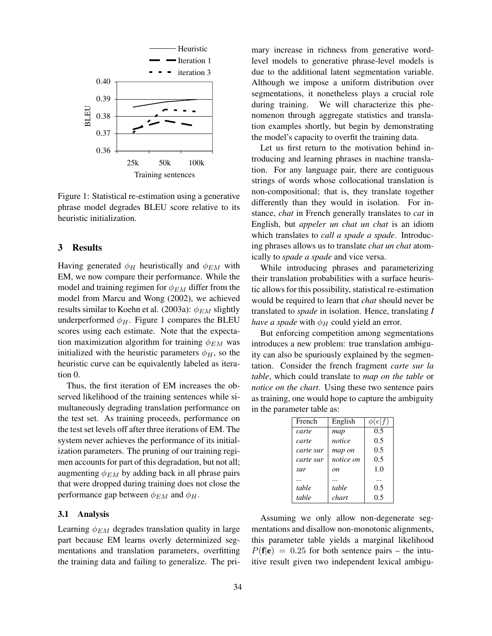

Figure 1: Statistical re-estimation using a generative phrase model degrades BLEU score relative to its heuristic initialization.

# 3 Results

results similar to Koehn et al. (2003a):  $\phi_{EM}$  slightly model from Marcu and Wong (2002), we achieved EM, we now compare their performance. While the Having generated  $\phi_H$  heuristically and  $\phi_{EM}$  with underperformed  $\phi_H$ . Figure 1 compares the BLEU scores using each estimate. Note that the expectasu<br>g<br>entence<br>fre model and training regimen for  $\phi_{EM}$  differ from the tion maximization algorithm for training  $\phi_{EM}$  was initialized with the heuristic parameters  $\phi_H$ , so the heuristic curve can be equivalently labeled as iteration 0.

Thus, the first iteration of EM increases the observed likelihood of the training sentences while simultaneously degrading translation performance on the test set. As training proceeds, performance on the test set levels off after three iterations of EM. The system never achieves the performance of its initialization parameters. The pruning of our training regimen accounts for part of this degradation, but not all; augmenting  $\phi_{EM}$  by adding back in all phrase pairs that were dropped during training does not close the performance gap between  $\phi_{EM}$  and  $\phi_H$ .

#### 3.1 Analysis

Learning  $\phi_{EM}$  degrades translation quality in large part because EM learns overly determinized segmentations and translation parameters, overfitting the training data and failing to generalize. The primary increase in richness from generative wordlevel models to generative phrase-level models is due to the additional latent segmentation variable. Although we impose a uniform distribution over segmentations, it nonetheless plays a crucial role during training. We will characterize this phenomenon through aggregate statistics and translation examples shortly, but begin by demonstrating the model's capacity to overfit the training data.

Let us first return to the motivation behind introducing and learning phrases in machine translation. For any language pair, there are contiguous strings of words whose collocational translation is non-compositional; that is, they translate together differently than they would in isolation. For instance, *chat* in French generally translates to *cat* in English, but *appeler un chat un chat* is an idiom which translates to *call a spade a spade*. Introducing phrases allows us to translate *chat un chat* atomically to *spade a spade* and vice versa.

While introducing phrases and parameterizing their translation probabilities with a surface heuristic allows for this possibility, statistical re-estimation would be required to learn that *chat* should never be translated to *spade* in isolation. Hence, translating *I have a spade* with  $\phi_H$  could yield an error.

But enforcing competition among segmentations introduces a new problem: true translation ambiguity can also be spuriously explained by the segmentation. Consider the french fragment *carte sur la table*, which could translate to *map on the table* or *notice on the chart*. Using these two sentence pairs as training, one would hope to capture the ambiguity in the parameter table as:

| French    | English   | $\phi(e f)$ |
|-----------|-----------|-------------|
| carte     | map       | 0.5         |
| carte     | notice    | 0.5         |
| carte sur | map on    | 0.5         |
| carte sur | notice on | 0.5         |
| sur       | on        | 1.0         |
|           |           |             |
| table     | table     | 0.5         |
| table     | chart     | 0.5         |

Assuming we only allow non-degenerate segmentations and disallow non-monotonic alignments, this parameter table yields a marginal likelihood  $P(f|e) = 0.25$  for both sentence pairs – the intuitive result given two independent lexical ambigu-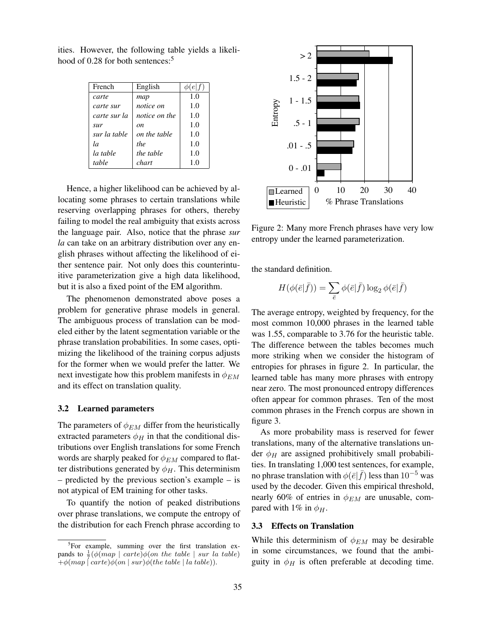| French       | English       | e f) |
|--------------|---------------|------|
| carte        | map           | 1.0  |
| carte sur    | notice on     | 1.0  |
| carte sur la | notice on the | 1.0  |
| sur          | on            | 1.0  |
| sur la table | on the table  | 1.0  |
| la           | the           | 1.0  |
| la table     | the table     | 1.0  |
| table        | chart         | 1.0  |

ities. However, the following table yields a likelihood of 0.28 for both sentences:<sup>5</sup>

Hence, a higher likelihood can be achieved by allocating some phrases to certain translations while reserving overlapping phrases for others, thereby failing to model the real ambiguity that exists across the language pair. Also, notice that the phrase *sur la* can take on an arbitrary distribution over any english phrases without affecting the likelihood of either sentence pair. Not only does this counterintuitive parameterization give a high data likelihood, but it is also a fixed point of the EM algorithm.

The phenomenon demonstrated above poses a problem for generative phrase models in general. The ambiguous process of translation can be modeled either by the latent segmentation variable or the phrase translation probabilities. In some cases, optimizing the likelihood of the training corpus adjusts for the former when we would prefer the latter. We next investigate how this problem manifests in  $\phi_{EM}$ and its effect on translation quality.

#### 3.2 Learned parameters

The parameters of  $\phi_{EM}$  differ from the heuristically extracted parameters  $\phi_H$  in that the conditional distributions over English translations for some French words are sharply peaked for  $\phi_{EM}$  compared to flatter distributions generated by  $\phi_H$ . This determinism – predicted by the previous section's example – is not atypical of EM training for other tasks.

To quantify the notion of peaked distributions over phrase translations, we compute the entropy of the distribution for each French phrase according to



Figure 2: Many more French phrases have very low entropy under the learned parameterization.

the standard definition.

$$
H(\phi(\bar{e}|\bar{f})) = \sum_{\bar{e}} \phi(\bar{e}|\bar{f}) \log_2 \phi(\bar{e}|\bar{f})
$$

The average entropy, weighted by frequency, for the most common 10,000 phrases in the learned table was 1.55, comparable to 3.76 for the heuristic table. The difference between the tables becomes much more striking when we consider the histogram of entropies for phrases in figure 2. In particular, the learned table has many more phrases with entropy near zero. The most pronounced entropy differences often appear for common phrases. Ten of the most common phrases in the French corpus are shown in figure 3.

As more probability mass is reserved for fewer translations, many of the alternative translations under  $\phi_H$  are assigned prohibitively small probabilities. In translating 1,000 test sentences, for example, no phrase translation with  $\phi(\bar{e}|\bar{f})$  less than  $10^{-5}$  was used by the decoder. Given this empirical threshold, nearly 60% of entries in  $\phi_{EM}$  are unusable, compared with 1% in  $\phi_H$ .

### 3.3 Effects on Translation

While this determinism of  $\phi_{EM}$  may be desirable in some circumstances, we found that the ambiguity in  $\phi_H$  is often preferable at decoding time.

<sup>&</sup>lt;sup>5</sup>For example, summing over the first translation expands to  $\frac{1}{7}(\phi(map \mid carte))\phi(an \, the \, table \mid sur \, la \, table)$  $+\phi(map \mid carte)\phi(an \mid sur)\phi(the \ table \mid la \ table)).$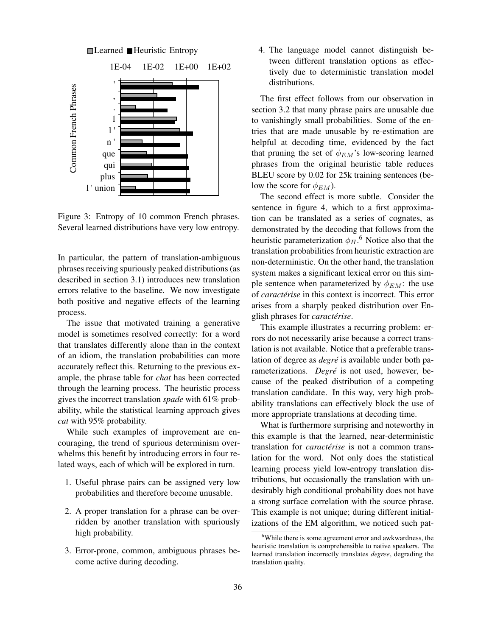

Several learned distributions have very low entropy. Figure 3: Entropy of 10 common French phrases.  $\frac{1}{e}$ ns<br>era<br>ai

In particular, the pattern of translation-ambiguous phrases receiving spuriously peaked distributions (as system makes a significan described in section 3.1) introduces new translation errors relative to the baseline. We now investigate both positive and negative effects of the learning process.

The issue that motivated training a generative model is sometimes resolved correctly: for a word that translates differently alone than in the context of an idiom, the translation probabilities can more accurately reflect this. Returning to the previous example, the phrase table for *chat* has been corrected through the learning process. The heuristic process gives the incorrect translation *spade* with 61% probability, while the statistical learning approach gives *cat* with 95% probability.

While such examples of improvement are encouraging, the trend of spurious determinism overwhelms this benefit by introducing errors in four related ways, each of which will be explored in turn.

- 1. Useful phrase pairs can be assigned very low probabilities and therefore become unusable.
- 2. A proper translation for a phrase can be overridden by another translation with spuriously high probability.
- 3. Error-prone, common, ambiguous phrases become active during decoding.

4. The language model cannot distinguish between different translation options as effectively due to deterministic translation model distributions.

The first effect follows from our observation in section 3.2 that many phrase pairs are unusable due to vanishingly small probabilities. Some of the entries that are made unusable by re-estimation are helpful at decoding time, evidenced by the fact that pruning the set of  $\phi_{EM}$ 's low-scoring learned phrases from the original heuristic table reduces BLEU score by 0.02 for 25k training sentences (below the score for  $\phi_{EM}$ ).

demonstrated by the decoding that follows from the heuristic parameterization  $\phi_H$ .<sup>6</sup> Notice also that the The second effect is more subtle. Consider the sentence in figure 4, which to a first approximation can be translated as a series of cognates, as translation probabilities from heuristic extraction are non-deterministic. On the other hand, the translation system makes a significant lexical error on this simple sentence when parameterized by  $\phi_{EM}$ : the use of *caractérise* in this context is incorrect. This error arises from a sharply peaked distribution over English phrases for *caracterise ´* .

This example illustrates a recurring problem: errors do not necessarily arise because a correct translation is not available. Notice that a preferable translation of degree as *degré* is available under both parameterizations. *Degré* is not used, however, because of the peaked distribution of a competing translation candidate. In this way, very high probability translations can effectively block the use of more appropriate translations at decoding time.

What is furthermore surprising and noteworthy in this example is that the learned, near-deterministic translation for *caractérise* is not a common translation for the word. Not only does the statistical learning process yield low-entropy translation distributions, but occasionally the translation with undesirably high conditional probability does not have a strong surface correlation with the source phrase. This example is not unique; during different initializations of the EM algorithm, we noticed such pat-

<sup>6</sup>While there is some agreement error and awkwardness, the heuristic translation is comprehensible to native speakers. The learned translation incorrectly translates *degree*, degrading the translation quality.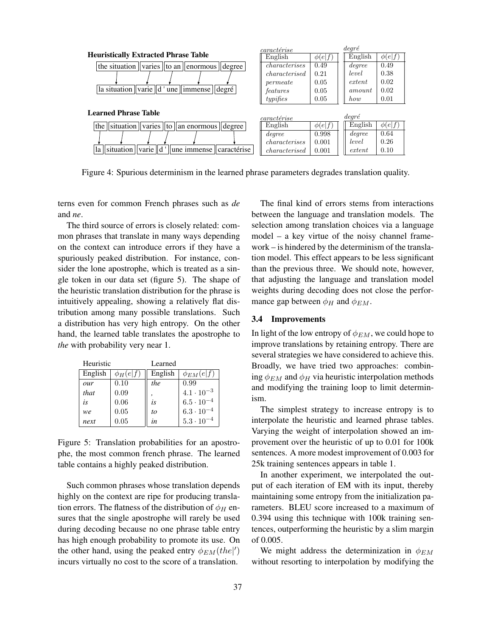

Figure 4: Spurious determinism in the learned phrase parameters degrades translation quality.

terns even for common French phrases such as *de* and *ne*.

The third source of errors is closely related: common phrases that translate in many ways depending on the context can introduce errors if they have a spuriously peaked distribution. For instance, consider the lone apostrophe, which is treated as a single token in our data set (figure 5). The shape of the heuristic translation distribution for the phrase is intuitively appealing, showing a relatively flat distribution among many possible translations. Such a distribution has very high entropy. On the other hand, the learned table translates the apostrophe to *the* with probability very near 1.

| Heuristic |               | Learned   |                     |
|-----------|---------------|-----------|---------------------|
| English   | $\phi_H(e f)$ | English   | $\phi_{EM}(e f)$    |
| our       | 0.10          | the       | 0.99                |
| that      | 0.09          |           | $4.1 \cdot 10^{-3}$ |
| is        | 0.06          | <i>is</i> | $6.5 \cdot 10^{-4}$ |
| we        | 0.05          | to        | $6.3 \cdot 10^{-4}$ |
| next      | 0.05          | in        | $5.3 \cdot 10^{-4}$ |

Figure 5: Translation probabilities for an apostrophe, the most common french phrase. The learned table contains a highly peaked distribution.

Such common phrases whose translation depends highly on the context are ripe for producing translation errors. The flatness of the distribution of  $\phi_H$  ensures that the single apostrophe will rarely be used during decoding because no one phrase table entry has high enough probability to promote its use. On the other hand, using the peaked entry  $\phi_{EM}(the'|)$ incurs virtually no cost to the score of a translation.

The final kind of errors stems from interactions between the language and translation models. The selection among translation choices via a language model – a key virtue of the noisy channel framework – is hindered by the determinism of the translation model. This effect appears to be less significant than the previous three. We should note, however, that adjusting the language and translation model weights during decoding does not close the performance gap between  $\phi_H$  and  $\phi_{EM}$ .

#### 3.4 Improvements

In light of the low entropy of  $\phi_{EM}$ , we could hope to improve translations by retaining entropy. There are several strategies we have considered to achieve this. Broadly, we have tried two approaches: combining  $\phi_{EM}$  and  $\phi_H$  via heuristic interpolation methods and modifying the training loop to limit determinism.

The simplest strategy to increase entropy is to interpolate the heuristic and learned phrase tables. Varying the weight of interpolation showed an improvement over the heuristic of up to 0.01 for 100k sentences. A more modest improvement of 0.003 for 25k training sentences appears in table 1.

In another experiment, we interpolated the output of each iteration of EM with its input, thereby maintaining some entropy from the initialization parameters. BLEU score increased to a maximum of 0.394 using this technique with 100k training sentences, outperforming the heuristic by a slim margin of 0.005.

We might address the determinization in  $\phi_{EM}$ without resorting to interpolation by modifying the